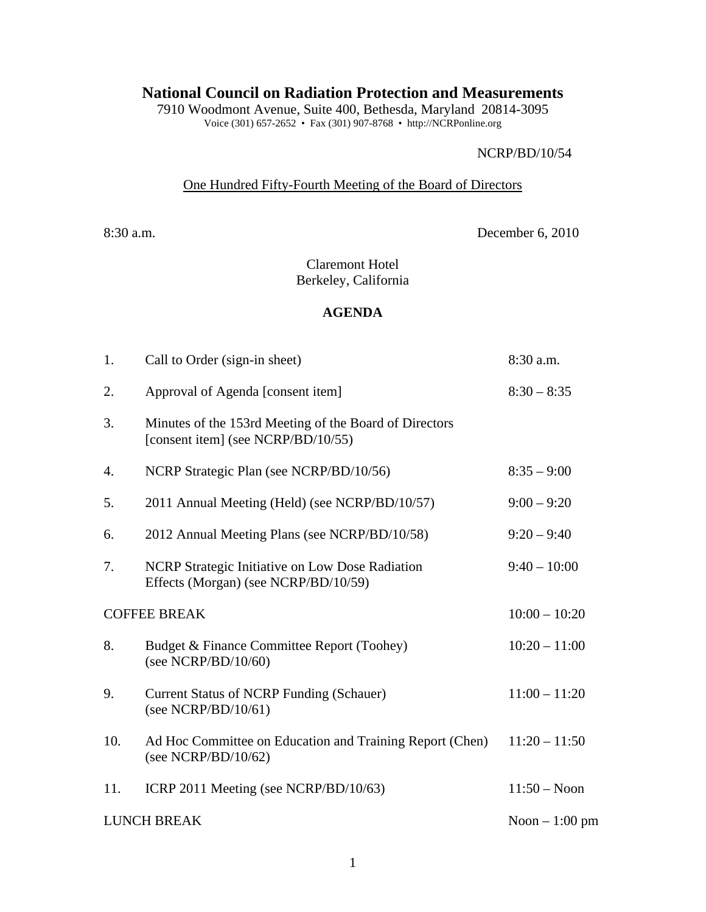# **National Council on Radiation Protection and Measurements**

7910 Woodmont Avenue, Suite 400, Bethesda, Maryland 20814-3095 Voice (301) 657-2652 • Fax (301) 907-8768 • http://NCRPonline.org

#### NCRP/BD/10/54

### One Hundred Fifty-Fourth Meeting of the Board of Directors

8:30 a.m. December 6, 2010

Claremont Hotel Berkeley, California

### **AGENDA**

| 1.                  | Call to Order (sign-in sheet)                                                                | 8:30 a.m.       |
|---------------------|----------------------------------------------------------------------------------------------|-----------------|
| 2.                  | Approval of Agenda [consent item]                                                            | $8:30 - 8:35$   |
| 3.                  | Minutes of the 153rd Meeting of the Board of Directors<br>[consent item] (see NCRP/BD/10/55) |                 |
| 4.                  | NCRP Strategic Plan (see NCRP/BD/10/56)                                                      | $8:35 - 9:00$   |
| 5.                  | 2011 Annual Meeting (Held) (see NCRP/BD/10/57)                                               | $9:00 - 9:20$   |
| 6.                  | 2012 Annual Meeting Plans (see NCRP/BD/10/58)                                                | $9:20 - 9:40$   |
| 7.                  | NCRP Strategic Initiative on Low Dose Radiation<br>Effects (Morgan) (see NCRP/BD/10/59)      | $9:40 - 10:00$  |
| <b>COFFEE BREAK</b> |                                                                                              | $10:00 - 10:20$ |
| 8.                  | Budget & Finance Committee Report (Toohey)<br>(see NCRP/BD/10/60)                            | $10:20 - 11:00$ |
| 9.                  | <b>Current Status of NCRP Funding (Schauer)</b><br>(see NCRP/BD/10/61)                       | $11:00 - 11:20$ |
| 10.                 | Ad Hoc Committee on Education and Training Report (Chen)<br>(see NCRP/BD/10/62)              | $11:20 - 11:50$ |
| 11.                 | ICRP 2011 Meeting (see NCRP/BD/10/63)                                                        | $11:50 - N$ oon |
| <b>LUNCH BREAK</b>  |                                                                                              | Noon $-1:00$ pm |